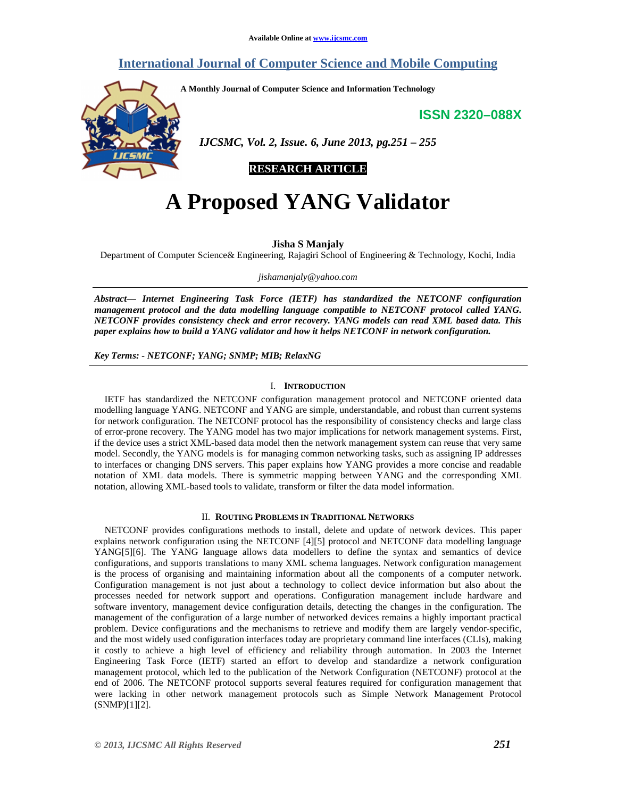# **International Journal of Computer Science and Mobile Computing**

**A Monthly Journal of Computer Science and Information Technology** 

**ISSN 2320–088X**



 *IJCSMC, Vol. 2, Issue. 6, June 2013, pg.251 – 255* 

**RESEARCH ARTICLE** 

# **A Proposed YANG Validator**

**Jisha S Manjaly** 

Department of Computer Science& Engineering, Rajagiri School of Engineering & Technology, Kochi, India

*jishamanjaly@yahoo.com*

*Abstract— Internet Engineering Task Force (IETF) has standardized the NETCONF configuration management protocol and the data modelling language compatible to NETCONF protocol called YANG. NETCONF provides consistency check and error recovery. YANG models can read XML based data. This paper explains how to build a YANG validator and how it helps NETCONF in network configuration.* 

*Key Terms: - NETCONF; YANG; SNMP; MIB; RelaxNG* 

#### I. **INTRODUCTION**

IETF has standardized the NETCONF configuration management protocol and NETCONF oriented data modelling language YANG. NETCONF and YANG are simple, understandable, and robust than current systems for network configuration. The NETCONF protocol has the responsibility of consistency checks and large class of error-prone recovery. The YANG model has two major implications for network management systems. First, if the device uses a strict XML-based data model then the network management system can reuse that very same model. Secondly, the YANG models is for managing common networking tasks, such as assigning IP addresses to interfaces or changing DNS servers. This paper explains how YANG provides a more concise and readable notation of XML data models. There is symmetric mapping between YANG and the corresponding XML notation, allowing XML-based tools to validate, transform or filter the data model information.

#### II. **ROUTING PROBLEMS IN TRADITIONAL NETWORKS**

NETCONF provides configurations methods to install, delete and update of network devices. This paper explains network configuration using the NETCONF [4][5] protocol and NETCONF data modelling language YANG[5][6]. The YANG language allows data modellers to define the syntax and semantics of device configurations, and supports translations to many XML schema languages. Network configuration management is the process of organising and maintaining information about all the components of a computer network. Configuration management is not just about a technology to collect device information but also about the processes needed for network support and operations. Configuration management include hardware and software inventory, management device configuration details, detecting the changes in the configuration. The management of the configuration of a large number of networked devices remains a highly important practical problem. Device configurations and the mechanisms to retrieve and modify them are largely vendor-specific, and the most widely used configuration interfaces today are proprietary command line interfaces (CLIs), making it costly to achieve a high level of efficiency and reliability through automation. In 2003 the Internet Engineering Task Force (IETF) started an effort to develop and standardize a network configuration management protocol, which led to the publication of the Network Configuration (NETCONF) protocol at the end of 2006. The NETCONF protocol supports several features required for configuration management that were lacking in other network management protocols such as Simple Network Management Protocol (SNMP)[1][2].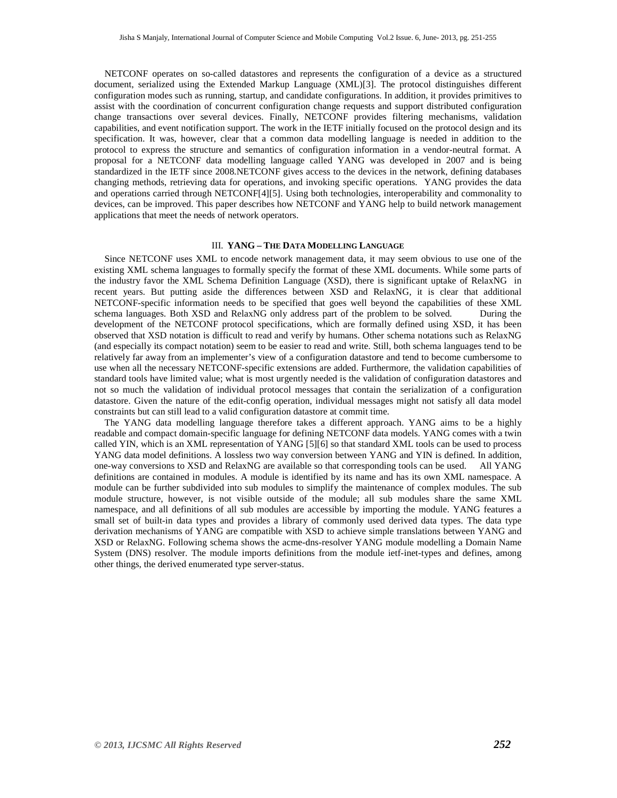NETCONF operates on so-called datastores and represents the configuration of a device as a structured document, serialized using the Extended Markup Language (XML)[3]. The protocol distinguishes different configuration modes such as running, startup, and candidate configurations. In addition, it provides primitives to assist with the coordination of concurrent configuration change requests and support distributed configuration change transactions over several devices. Finally, NETCONF provides filtering mechanisms, validation capabilities, and event notification support. The work in the IETF initially focused on the protocol design and its specification. It was, however, clear that a common data modelling language is needed in addition to the protocol to express the structure and semantics of configuration information in a vendor-neutral format. A proposal for a NETCONF data modelling language called YANG was developed in 2007 and is being standardized in the IETF since 2008.NETCONF gives access to the devices in the network, defining databases changing methods, retrieving data for operations, and invoking specific operations. YANG provides the data and operations carried through NETCONF[4][5]. Using both technologies, interoperability and commonality to devices, can be improved. This paper describes how NETCONF and YANG help to build network management applications that meet the needs of network operators.

# III. **YANG – THE DATA MODELLING LANGUAGE**

Since NETCONF uses XML to encode network management data, it may seem obvious to use one of the existing XML schema languages to formally specify the format of these XML documents. While some parts of the industry favor the XML Schema Definition Language (XSD), there is significant uptake of RelaxNG in recent years. But putting aside the differences between XSD and RelaxNG, it is clear that additional NETCONF-specific information needs to be specified that goes well beyond the capabilities of these XML schema languages. Both XSD and RelaxNG only address part of the problem to be solved. During the development of the NETCONF protocol specifications, which are formally defined using XSD, it has been observed that XSD notation is difficult to read and verify by humans. Other schema notations such as RelaxNG (and especially its compact notation) seem to be easier to read and write. Still, both schema languages tend to be relatively far away from an implementer's view of a configuration datastore and tend to become cumbersome to use when all the necessary NETCONF-specific extensions are added. Furthermore, the validation capabilities of standard tools have limited value; what is most urgently needed is the validation of configuration datastores and not so much the validation of individual protocol messages that contain the serialization of a configuration datastore. Given the nature of the edit-config operation, individual messages might not satisfy all data model constraints but can still lead to a valid configuration datastore at commit time.

The YANG data modelling language therefore takes a different approach. YANG aims to be a highly readable and compact domain-specific language for defining NETCONF data models. YANG comes with a twin called YIN, which is an XML representation of YANG [5][6] so that standard XML tools can be used to process YANG data model definitions. A lossless two way conversion between YANG and YIN is defined. In addition, one-way conversions to XSD and RelaxNG are available so that corresponding tools can be used. All YANG definitions are contained in modules. A module is identified by its name and has its own XML namespace. A module can be further subdivided into sub modules to simplify the maintenance of complex modules. The sub module structure, however, is not visible outside of the module; all sub modules share the same XML namespace, and all definitions of all sub modules are accessible by importing the module. YANG features a small set of built-in data types and provides a library of commonly used derived data types. The data type derivation mechanisms of YANG are compatible with XSD to achieve simple translations between YANG and XSD or RelaxNG. Following schema shows the acme-dns-resolver YANG module modelling a Domain Name System (DNS) resolver. The module imports definitions from the module ietf-inet-types and defines, among other things, the derived enumerated type server-status.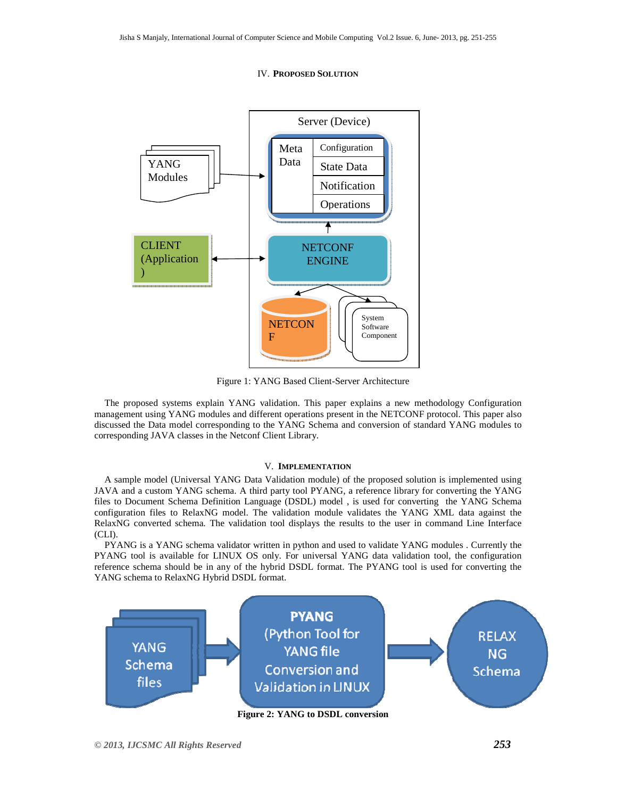#### IV. **PROPOSED SOLUTION**



Figure 1: YANG Based Client-Server Architecture

The proposed systems explain YANG validation. This paper explains a new methodology Configuration management using YANG modules and different operations present in the NETCONF protocol. This paper also discussed the Data model corresponding to the YANG Schema and conversion of standard YANG modules to corresponding JAVA classes in the Netconf Client Library.

#### V. **IMPLEMENTATION**

A sample model (Universal YANG Data Validation module) of the proposed solution is implemented using JAVA and a custom YANG schema. A third party tool PYANG, a reference library for converting the YANG files to Document Schema Definition Language (DSDL) model , is used for converting the YANG Schema configuration files to RelaxNG model. The validation module validates the YANG XML data against the RelaxNG converted schema. The validation tool displays the results to the user in command Line Interface (CLI).

PYANG is a YANG schema validator written in python and used to validate YANG modules . Currently the PYANG tool is available for LINUX OS only. For universal YANG data validation tool, the configuration reference schema should be in any of the hybrid DSDL format. The PYANG tool is used for converting the YANG schema to RelaxNG Hybrid DSDL format.

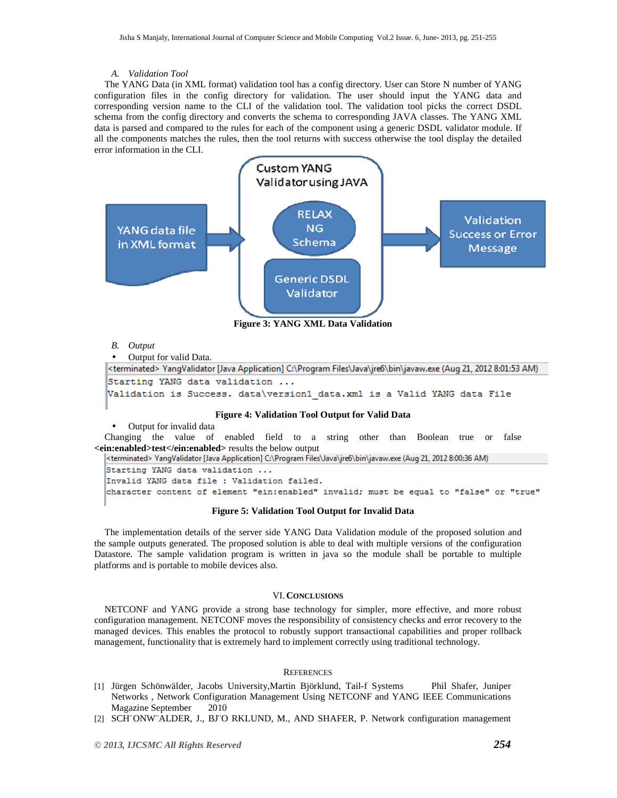#### *A. Validation Tool*

The YANG Data (in XML format) validation tool has a config directory. User can Store N number of YANG configuration files in the config directory for validation. The user should input the YANG data and corresponding version name to the CLI of the validation tool. The validation tool picks the correct DSDL schema from the config directory and converts the schema to corresponding JAVA classes. The YANG XML data is parsed and compared to the rules for each of the component using a generic DSDL validator module. If all the components matches the rules, then the tool returns with success otherwise the tool display the detailed error information in the CLI.



#### *B. Output*

• Output for valid Data.

```
<terminated> YangValidator [Java Application] C:\Program Files\Java\ire6\bin\javaw.exe (Aug 21, 2012 8:01:53 AM)
Starting YANG data validation ...
Validation is Success. data\version1 data.xml is a Valid YANG data File
```
## **Figure 4: Validation Tool Output for Valid Data**

• Output for invalid data

Changing the value of enabled field to a string other than Boolean true or false **<ein:enabled>test</ein:enabled>** results the below output

<terminated> YangValidator [Java Application] C:\Program Files\Java\jre6\bin\javaw.exe (Aug 21, 2012 8:00:36 AM)

Starting YANG data validation ... Invalid YANG data file : Validation failed. character content of element "ein:enabled" invalid; must be equal to "false" or "true"

#### **Figure 5: Validation Tool Output for Invalid Data**

The implementation details of the server side YANG Data Validation module of the proposed solution and the sample outputs generated. The proposed solution is able to deal with multiple versions of the configuration Datastore. The sample validation program is written in java so the module shall be portable to multiple platforms and is portable to mobile devices also.

### VI. **CONCLUSIONS**

NETCONF and YANG provide a strong base technology for simpler, more effective, and more robust configuration management. NETCONF moves the responsibility of consistency checks and error recovery to the managed devices. This enables the protocol to robustly support transactional capabilities and proper rollback management, functionality that is extremely hard to implement correctly using traditional technology.

#### **REFERENCES**

- [1] Jürgen Schönwälder, Jacobs University,Martin Björklund, Tail-f Systems Phil Shafer, Juniper Networks , Network Configuration Management Using NETCONF and YANG IEEE Communications Magazine September 2010
- [2] SCH¨ONW¨ALDER, J., BJ¨O RKLUND, M., AND SHAFER, P. Network configuration management